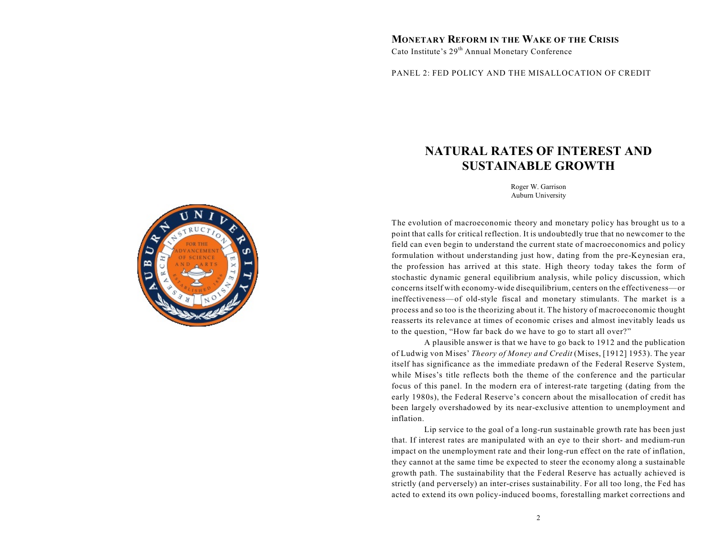# **MONETARY REFORM IN THE WAKE OF THE CRISIS**

Cato Institute's 29<sup>th</sup> Annual Monetary Conference

PANEL 2: FED POLICY AND THE MISALLOCATION OF CREDIT

# **NATURAL RATES OF INTEREST AND SUSTAINABLE GROWTH**

Roger W. Garrison Auburn University

The evolution of macroeconomic theory and monetary policy has brought us to a point that calls for critical reflection. It is undoubtedly true that no newcomer to the field can even begin to understand the current state of macroeconomics and policy formulation without understanding just how, dating from the pre-Keynesian era, the profession has arrived at this state. High theory today takes the form of stochastic dynamic general equilibrium analysis, while policy discussion, which concerns itself with economy-wide disequilibrium, centers on the effectiveness—or ineffectiveness—of old-style fiscal and monetary stimulants. The market is a process and so too is the theorizing about it. The history of macroeconomic thought reasserts its relevance at times of economic crises and almost inevitably leads us to the question, "How far back do we have to go to start all over?"

A plausible answer is that we have to go back to 1912 and the publication of Ludwig von Mises' *Theory of Money and Credit* (Mises, [1912] 1953). The year itself has significance as the immediate predawn of the Federal Reserve System, while Mises's title reflects both the theme of the conference and the particular focus of this panel. In the modern era of interest-rate targeting (dating from the early 1980s), the Federal Reserve's concern about the misallocation of credit has been largely overshadowed by its near-exclusive attention to unemployment and inflation.

Lip service to the goal of a long-run sustainable growth rate has been just that. If interest rates are manipulated with an eye to their short- and medium-run impact on the unemployment rate and their long-run effect on the rate of inflation, they cannot at the same time be expected to steer the economy along a sustainable growth path. The sustainability that the Federal Reserve has actually achieved is strictly (and perversely) an inter-crises sustainability. For all too long, the Fed has acted to extend its own policy-induced booms, forestalling market corrections and

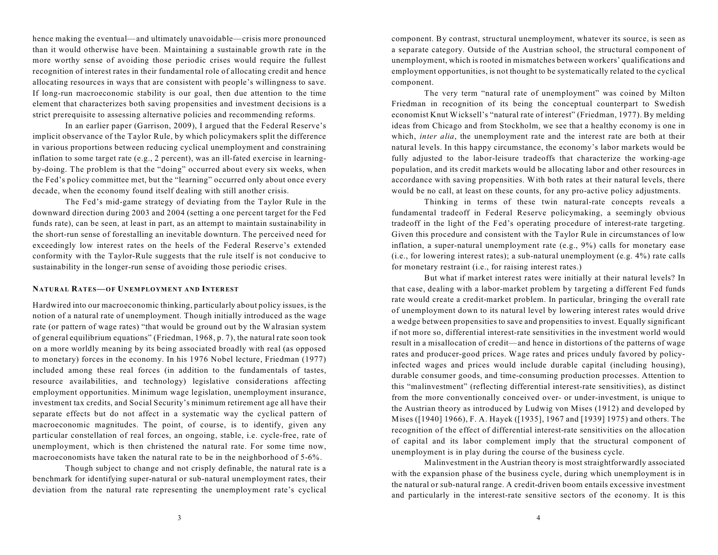hence making the eventual—and ultimately unavoidable—crisis more pronounced than it would otherwise have been. Maintaining a sustainable growth rate in the more worthy sense of avoiding those periodic crises would require the fullest recognition of interest rates in their fundamental role of allocating credit and hence allocating resources in ways that are consistent with people's willingness to save. If long-run macroeconomic stability is our goal, then due attention to the time element that characterizes both saving propensities and investment decisions is a strict prerequisite to assessing alternative policies and recommending reforms.

In an earlier paper (Garrison, 2009), I argued that the Federal Reserve's implicit observance of the Taylor Rule, by which policymakers split the difference in various proportions between reducing cyclical unemployment and constraining inflation to some target rate (e.g., 2 percent), was an ill-fated exercise in learningby-doing. The problem is that the "doing" occurred about every six weeks, when the Fed's policy committee met, but the "learning" occurred only about once every decade, when the economy found itself dealing with still another crisis.

The Fed's mid-game strategy of deviating from the Taylor Rule in the downward direction during 2003 and 2004 (setting a one percent target for the Fed funds rate), can be seen, at least in part, as an attempt to maintain sustainability in the short-run sense of forestalling an inevitable downturn. The perceived need for exceedingly low interest rates on the heels of the Federal Reserve's extended conformity with the Taylor-Rule suggests that the rule itself is not conducive to sustainability in the longer-run sense of avoiding those periodic crises.

#### **NATURAL RATES—OF UNEMPLOYMENT AND INTEREST**

Hardwired into our macroeconomic thinking, particularly about policy issues, is the notion of a natural rate of unemployment. Though initially introduced as the wage rate (or pattern of wage rates) "that would be ground out by the Walrasian system of general equilibrium equations" (Friedman, 1968, p. 7), the natural rate soon took on a more worldly meaning by its being associated broadly with real (as opposed to monetary) forces in the economy. In his 1976 Nobel lecture, Friedman (1977) included among these real forces (in addition to the fundamentals of tastes, resource availabilities, and technology) legislative considerations affecting employment opportunities. Minimum wage legislation, unemployment insurance, investment tax credits, and Social Security's minimum retirement age all have their separate effects but do not affect in a systematic way the cyclical pattern of macroeconomic magnitudes. The point, of course, is to identify, given any particular constellation of real forces, an ongoing, stable, i.e. cycle-free, rate of unemployment, which is then christened the natural rate. For some time now, macroeconomists have taken the natural rate to be in the neighborhood of 5-6%.

Though subject to change and not crisply definable, the natural rate is a benchmark for identifying super-natural or sub-natural unemployment rates, their deviation from the natural rate representing the unemployment rate's cyclical component. By contrast, structural unemployment, whatever its source, is seen as a separate category. Outside of the Austrian school, the structural component of unemployment, which is rooted in mismatches between workers' qualifications and employment opportunities, is not thought to be systematically related to the cyclical component.

The very term "natural rate of unemployment" was coined by Milton Friedman in recognition of its being the conceptual counterpart to Swedish economist Knut Wicksell's "natural rate of interest" (Friedman, 1977). By melding ideas from Chicago and from Stockholm, we see that a healthy economy is one in which, *inter alia*, the unemployment rate and the interest rate are both at their natural levels. In this happy circumstance, the economy's labor markets would be fully adjusted to the labor-leisure tradeoffs that characterize the working-age population, and its credit markets would be allocating labor and other resources in accordance with saving propensities. With both rates at their natural levels, there would be no call, at least on these counts, for any pro-active policy adjustments.

Thinking in terms of these twin natural-rate concepts reveals a fundamental tradeoff in Federal Reserve policymaking, a seemingly obvious tradeoff in the light of the Fed's operating procedure of interest-rate targeting. Given this procedure and consistent with the Taylor Rule in circumstances of low inflation, a super-natural unemployment rate (e.g., 9%) calls for monetary ease (i.e., for lowering interest rates); a sub-natural unemployment (e.g. 4%) rate calls for monetary restraint (i.e., for raising interest rates.)

But what if market interest rates were initially at their natural levels? In that case, dealing with a labor-market problem by targeting a different Fed funds rate would create a credit-market problem. In particular, bringing the overall rate of unemployment down to its natural level by lowering interest rates would drive a wedge between propensities to save and propensities to invest. Equally significant if not more so, differential interest-rate sensitivities in the investment world would result in a misallocation of credit—and hence in distortions of the patterns of wage rates and producer-good prices. Wage rates and prices unduly favored by policyinfected wages and prices would include durable capital (including housing), durable consumer goods, and time-consuming production processes. Attention to this "malinvestment" (reflecting differential interest-rate sensitivities), as distinct from the more conventionally conceived over- or under-investment, is unique to the Austrian theory as introduced by Ludwig von Mises (1912) and developed by Mises ([1940] 1966), F. A. Hayek ([1935], 1967 and [1939] 1975) and others. The recognition of the effect of differential interest-rate sensitivities on the allocation of capital and its labor complement imply that the structural component of unemployment is in play during the course of the business cycle.

Malinvestment in the Austrian theory is most straightforwardly associated with the expansion phase of the business cycle, during which unemployment is in the natural or sub-natural range. A credit-driven boom entails excessive investment and particularly in the interest-rate sensitive sectors of the economy. It is this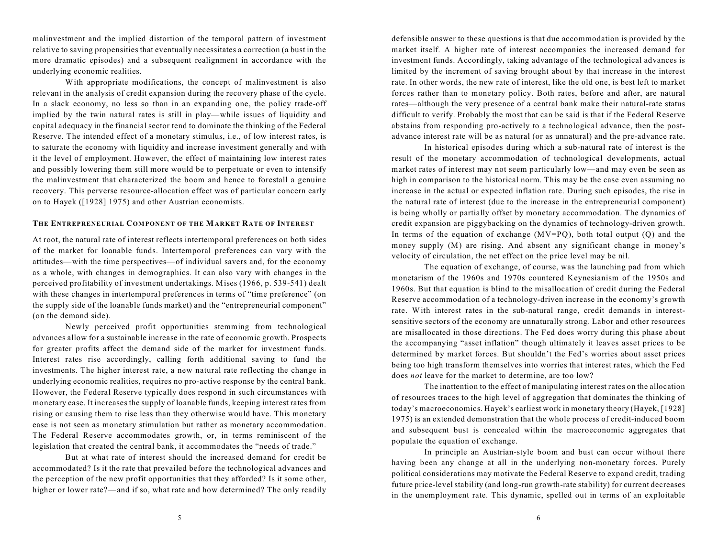malinvestment and the implied distortion of the temporal pattern of investment relative to saving propensities that eventually necessitates a correction (a bust in the more dramatic episodes) and a subsequent realignment in accordance with the underlying economic realities.

With appropriate modifications, the concept of malinvestment is also relevant in the analysis of credit expansion during the recovery phase of the cycle. In a slack economy, no less so than in an expanding one, the policy trade-off implied by the twin natural rates is still in play—while issues of liquidity and capital adequacy in the financial sector tend to dominate the thinking of the Federal Reserve. The intended effect of a monetary stimulus, i.e., of low interest rates, is to saturate the economy with liquidity and increase investment generally and with it the level of employment. However, the effect of maintaining low interest rates and possibly lowering them still more would be to perpetuate or even to intensify the malinvestment that characterized the boom and hence to forestall a genuine recovery. This perverse resource-allocation effect was of particular concern early on to Hayek ([1928] 1975) and other Austrian economists.

## **THE ENTREPRENEURIAL COMPONENT OF THE MARKET RATE OF INTEREST**

At root, the natural rate of interest reflects intertemporal preferences on both sides of the market for loanable funds. Intertemporal preferences can vary with the attitudes—with the time perspectives—of individual savers and, for the economy as a whole, with changes in demographics. It can also vary with changes in the perceived profitability of investment undertakings. Mises (1966, p. 539-541) dealt with these changes in intertemporal preferences in terms of "time preference" (on the supply side of the loanable funds market) and the "entrepreneurial component" (on the demand side).

Newly perceived profit opportunities stemming from technological advances allow for a sustainable increase in the rate of economic growth. Prospects for greater profits affect the demand side of the market for investment funds. Interest rates rise accordingly, calling forth additional saving to fund the investments. The higher interest rate, a new natural rate reflecting the change in underlying economic realities, requires no pro-active response by the central bank. However, the Federal Reserve typically does respond in such circumstances with monetary ease. It increases the supply of loanable funds, keeping interest rates from rising or causing them to rise less than they otherwise would have. This monetary ease is not seen as monetary stimulation but rather as monetary accommodation. The Federal Reserve accommodates growth, or, in terms reminiscent of the legislation that created the central bank, it accommodates the "needs of trade."

But at what rate of interest should the increased demand for credit be accommodated? Is it the rate that prevailed before the technological advances and the perception of the new profit opportunities that they afforded? Is it some other, higher or lower rate?—and if so, what rate and how determined? The only readily defensible answer to these questions is that due accommodation is provided by the market itself. A higher rate of interest accompanies the increased demand for investment funds. Accordingly, taking advantage of the technological advances is limited by the increment of saving brought about by that increase in the interest rate. In other words, the new rate of interest, like the old one, is best left to market forces rather than to monetary policy. Both rates, before and after, are natural rates—although the very presence of a central bank make their natural-rate status difficult to verify. Probably the most that can be said is that if the Federal Reserve abstains from responding pro-actively to a technological advance, then the postadvance interest rate will be as natural (or as unnatural) and the pre-advance rate.

In historical episodes during which a sub-natural rate of interest is the result of the monetary accommodation of technological developments, actual market rates of interest may not seem particularly low—and may even be seen as high in comparison to the historical norm. This may be the case even assuming no increase in the actual or expected inflation rate. During such episodes, the rise in the natural rate of interest (due to the increase in the entrepreneurial component) is being wholly or partially offset by monetary accommodation. The dynamics of credit expansion are piggybacking on the dynamics of technology-driven growth. In terms of the equation of exchange  $(MV=PQ)$ , both total output  $(Q)$  and the money supply (M) are rising. And absent any significant change in money's velocity of circulation, the net effect on the price level may be nil.

The equation of exchange, of course, was the launching pad from which monetarism of the 1960s and 1970s countered Keynesianism of the 1950s and 1960s. But that equation is blind to the misallocation of credit during the Federal Reserve accommodation of a technology-driven increase in the economy's growth rate. With interest rates in the sub-natural range, credit demands in interestsensitive sectors of the economy are unnaturally strong. Labor and other resources are misallocated in those directions. The Fed does worry during this phase about the accompanying "asset inflation" though ultimately it leaves asset prices to be determined by market forces. But shouldn't the Fed's worries about asset prices being too high transform themselves into worries that interest rates, which the Fed does *not* leave for the market to determine, are too low?

The inattention to the effect of manipulating interest rates on the allocation of resources traces to the high level of aggregation that dominates the thinking of today's macroeconomics. Hayek's earliest work in monetary theory (Hayek, [1928] 1975) is an extended demonstration that the whole process of credit-induced boom and subsequent bust is concealed within the macroeconomic aggregates that populate the equation of exchange.

In principle an Austrian-style boom and bust can occur without there having been any change at all in the underlying non-monetary forces. Purely political considerations may motivate the Federal Reserve to expand credit, trading future price-level stability (and long-run growth-rate stability) for current decreases in the unemployment rate. This dynamic, spelled out in terms of an exploitable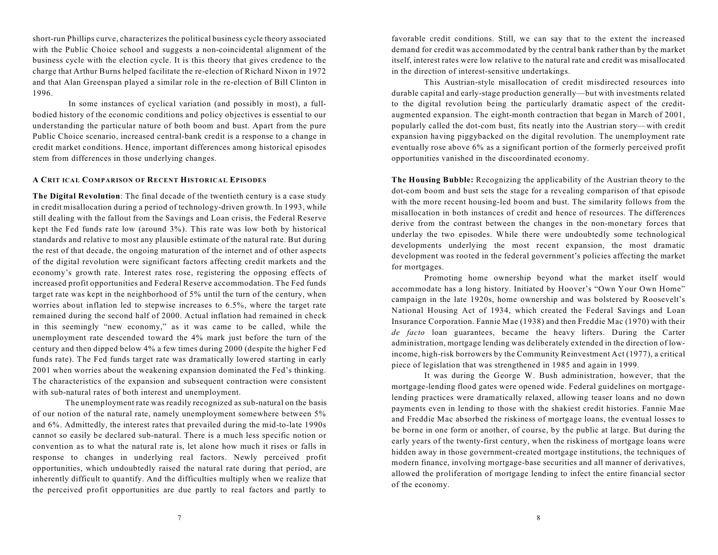short-run Phillips curve, characterizes the political business cycle theory associated with the Public Choice school and suggests a non-coincidental alignment of the business cycle with the election cycle. It is this theory that gives credence to the charge that Arthur Burns helped facilitate the re-election of Richard Nixon in 1972 and that Alan Greenspan played a similar role in the re-election of Bill Clinton in 1996.

 In some instances of cyclical variation (and possibly in most), a fullbodied history of the economic conditions and policy objectives is essential to our understanding the particular nature of both boom and bust. Apart from the pure Public Choice scenario, increased central-bank credit is a response to a change in credit market conditions. Hence, important differences among historical episodes stem from differences in those underlying changes.

### **A CRIT ICAL COMPARISON OF RECENT HISTORICAL EPISODES**

**The Digital Revolution**: The final decade of the twentieth century is a case study in credit misallocation during a period of technology-driven growth. In 1993, while still dealing with the fallout from the Savings and Loan crisis, the Federal Reserve kept the Fed funds rate low (around 3%). This rate was low both by historical standards and relative to most any plausible estimate of the natural rate. But during the rest of that decade, the ongoing maturation of the internet and of other aspects of the digital revolution were significant factors affecting credit markets and the economy's growth rate. Interest rates rose, registering the opposing effects of increased profit opportunities and Federal Reserve accommodation. The Fed funds target rate was kept in the neighborhood of 5% until the turn of the century, when worries about inflation led to stepwise increases to 6.5%, where the target rate remained during the second half of 2000. Actual inflation had remained in check in this seemingly "new economy," as it was came to be called, while the unemployment rate descended toward the 4% mark just before the turn of the century and then dipped below 4% a few times during 2000 (despite the higher Fed funds rate). The Fed funds target rate was dramatically lowered starting in early 2001 when worries about the weakening expansion dominated the Fed's thinking. The characteristics of the expansion and subsequent contraction were consistent with sub-natural rates of both interest and unemployment.

The unemployment rate was readily recognized as sub-natural on the basis of our notion of the natural rate, namely unemployment somewhere between 5% and 6%. Admittedly, the interest rates that prevailed during the mid-to-late 1990s cannot so easily be declared sub-natural. There is a much less specific notion or convention as to what the natural rate is, let alone how much it rises or falls in response to changes in underlying real factors. Newly perceived profit opportunities, which undoubtedly raised the natural rate during that period, are inherently difficult to quantify. And the difficulties multiply when we realize that the perceived profit opportunities are due partly to real factors and partly to

favorable credit conditions. Still, we can say that to the extent the increased demand for credit was accommodated by the central bank rather than by the market itself, interest rates were low relative to the natural rate and credit was misallocated in the direction of interest-sensitive undertakings.

This Austrian-style misallocation of credit misdirected resources into durable capital and early-stage production generally—but with investments related to the digital revolution being the particularly dramatic aspect of the creditaugmented expansion. The eight-month contraction that began in March of 2001, popularly called the dot-com bust, fits neatly into the Austrian story—with credit expansion having piggybacked on the digital revolution. The unemployment rate eventually rose above 6% as a significant portion of the formerly perceived profit opportunities vanished in the discoordinated economy.

**The Housing Bubble:** Recognizing the applicability of the Austrian theory to the dot-com boom and bust sets the stage for a revealing comparison of that episode with the more recent housing-led boom and bust. The similarity follows from the misallocation in both instances of credit and hence of resources. The differences derive from the contrast between the changes in the non-monetary forces that underlay the two episodes. While there were undoubtedly some technological developments underlying the most recent expansion, the most dramatic development was rooted in the federal government's policies affecting the market for mortgages.

Promoting home ownership beyond what the market itself would accommodate has a long history. Initiated by Hoover's "Own Your Own Home" campaign in the late 1920s, home ownership and was bolstered by Roosevelt's National Housing Act of 1934, which created the Federal Savings and Loan Insurance Corporation. Fannie Mae (1938) and then Freddie Mac (1970) with their *de facto* loan guarantees, became the heavy lifters. During the Carter administration, mortgage lending was deliberately extended in the direction of lowincome, high-risk borrowers by the Community Reinvestment Act (1977), a critical piece of legislation that was strengthened in 1985 and again in 1999.

It was during the George W. Bush administration, however, that the mortgage-lending flood gates were opened wide. Federal guidelines on mortgagelending practices were dramatically relaxed, allowing teaser loans and no down payments even in lending to those with the shakiest credit histories. Fannie Mae and Freddie Mac absorbed the riskiness of mortgage loans, the eventual losses to be borne in one form or another, of course, by the public at large. But during the early years of the twenty-first century, when the riskiness of mortgage loans were hidden away in those government-created mortgage institutions, the techniques of modern finance, involving mortgage-base securities and all manner of derivatives, allowed the proliferation of mortgage lending to infect the entire financial sector of the economy.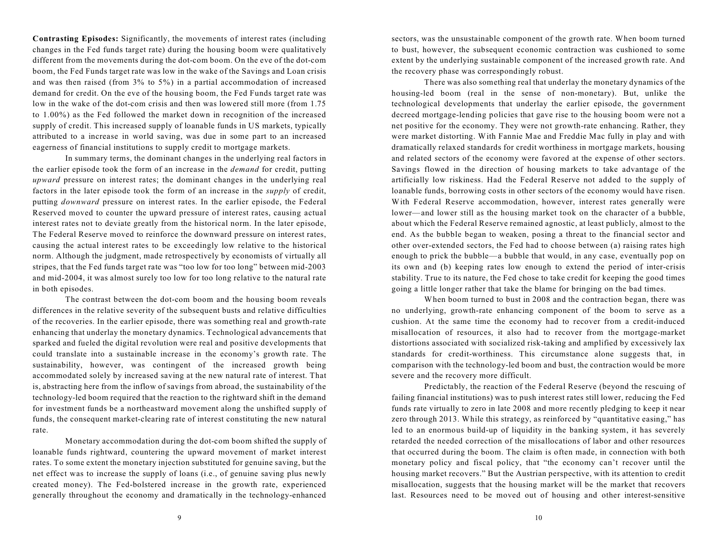**Contrasting Episodes:** Significantly, the movements of interest rates (including changes in the Fed funds target rate) during the housing boom were qualitatively different from the movements during the dot-com boom. On the eve of the dot-com boom, the Fed Funds target rate was low in the wake of the Savings and Loan crisis and was then raised (from 3% to 5%) in a partial accommodation of increased demand for credit. On the eve of the housing boom, the Fed Funds target rate was low in the wake of the dot-com crisis and then was lowered still more (from 1.75 to 1.00%) as the Fed followed the market down in recognition of the increased supply of credit. This increased supply of loanable funds in US markets, typically attributed to a increase in world saving, was due in some part to an increased eagerness of financial institutions to supply credit to mortgage markets.

In summary terms, the dominant changes in the underlying real factors in the earlier episode took the form of an increase in the *demand* for credit, putting *upward* pressure on interest rates; the dominant changes in the underlying real factors in the later episode took the form of an increase in the *supply* of credit, putting *downward* pressure on interest rates. In the earlier episode, the Federal Reserved moved to counter the upward pressure of interest rates, causing actual interest rates not to deviate greatly from the historical norm. In the later episode, The Federal Reserve moved to reinforce the downward pressure on interest rates, causing the actual interest rates to be exceedingly low relative to the historical norm. Although the judgment, made retrospectively by economists of virtually all stripes, that the Fed funds target rate was "too low for too long" between mid-2003 and mid-2004, it was almost surely too low for too long relative to the natural rate in both episodes.

The contrast between the dot-com boom and the housing boom reveals differences in the relative severity of the subsequent busts and relative difficulties of the recoveries. In the earlier episode, there was something real and growth-rate enhancing that underlay the monetary dynamics. Technological advancements that sparked and fueled the digital revolution were real and positive developments that could translate into a sustainable increase in the economy's growth rate. The sustainability, however, was contingent of the increased growth being accommodated solely by increased saving at the new natural rate of interest. That is, abstracting here from the inflow of savings from abroad, the sustainability of the technology-led boom required that the reaction to the rightward shift in the demand for investment funds be a northeastward movement along the unshifted supply of funds, the consequent market-clearing rate of interest constituting the new natural rate.

Monetary accommodation during the dot-com boom shifted the supply of loanable funds rightward, countering the upward movement of market interest rates. To some extent the monetary injection substituted for genuine saving, but the net effect was to increase the supply of loans (i.e., of genuine saving plus newly created money). The Fed-bolstered increase in the growth rate, experienced generally throughout the economy and dramatically in the technology-enhanced

sectors, was the unsustainable component of the growth rate. When boom turned to bust, however, the subsequent economic contraction was cushioned to some extent by the underlying sustainable component of the increased growth rate. And the recovery phase was correspondingly robust.

There was also something real that underlay the monetary dynamics of the housing-led boom (real in the sense of non-monetary). But, unlike the technological developments that underlay the earlier episode, the government decreed mortgage-lending policies that gave rise to the housing boom were not a net positive for the economy. They were not growth-rate enhancing. Rather, they were market distorting. With Fannie Mae and Freddie Mac fully in play and with dramatically relaxed standards for credit worthiness in mortgage markets, housing and related sectors of the economy were favored at the expense of other sectors. Savings flowed in the direction of housing markets to take advantage of the artificially low riskiness. Had the Federal Reserve not added to the supply of loanable funds, borrowing costs in other sectors of the economy would have risen. With Federal Reserve accommodation, however, interest rates generally were lower—and lower still as the housing market took on the character of a bubble, about which the Federal Reserve remained agnostic, at least publicly, almost to the end. As the bubble began to weaken, posing a threat to the financial sector and other over-extended sectors, the Fed had to choose between (a) raising rates high enough to prick the bubble—a bubble that would, in any case, eventually pop on its own and (b) keeping rates low enough to extend the period of inter-crisis stability. True to its nature, the Fed chose to take credit for keeping the good times going a little longer rather that take the blame for bringing on the bad times.

When boom turned to bust in 2008 and the contraction began, there was no underlying, growth-rate enhancing component of the boom to serve as a cushion. At the same time the economy had to recover from a credit-induced misallocation of resources, it also had to recover from the mortgage-market distortions associated with socialized risk-taking and amplified by excessively lax standards for credit-worthiness. This circumstance alone suggests that, in comparison with the technology-led boom and bust, the contraction would be more severe and the recovery more difficult.

Predictably, the reaction of the Federal Reserve (beyond the rescuing of failing financial institutions) was to push interest rates still lower, reducing the Fed funds rate virtually to zero in late 2008 and more recently pledging to keep it near zero through 2013. While this strategy, as reinforced by "quantitative easing," has led to an enormous build-up of liquidity in the banking system, it has severely retarded the needed correction of the misallocations of labor and other resources that occurred during the boom. The claim is often made, in connection with both monetary policy and fiscal policy, that "the economy can't recover until the housing market recovers." But the Austrian perspective, with its attention to credit misallocation, suggests that the housing market will be the market that recovers last. Resources need to be moved out of housing and other interest-sensitive